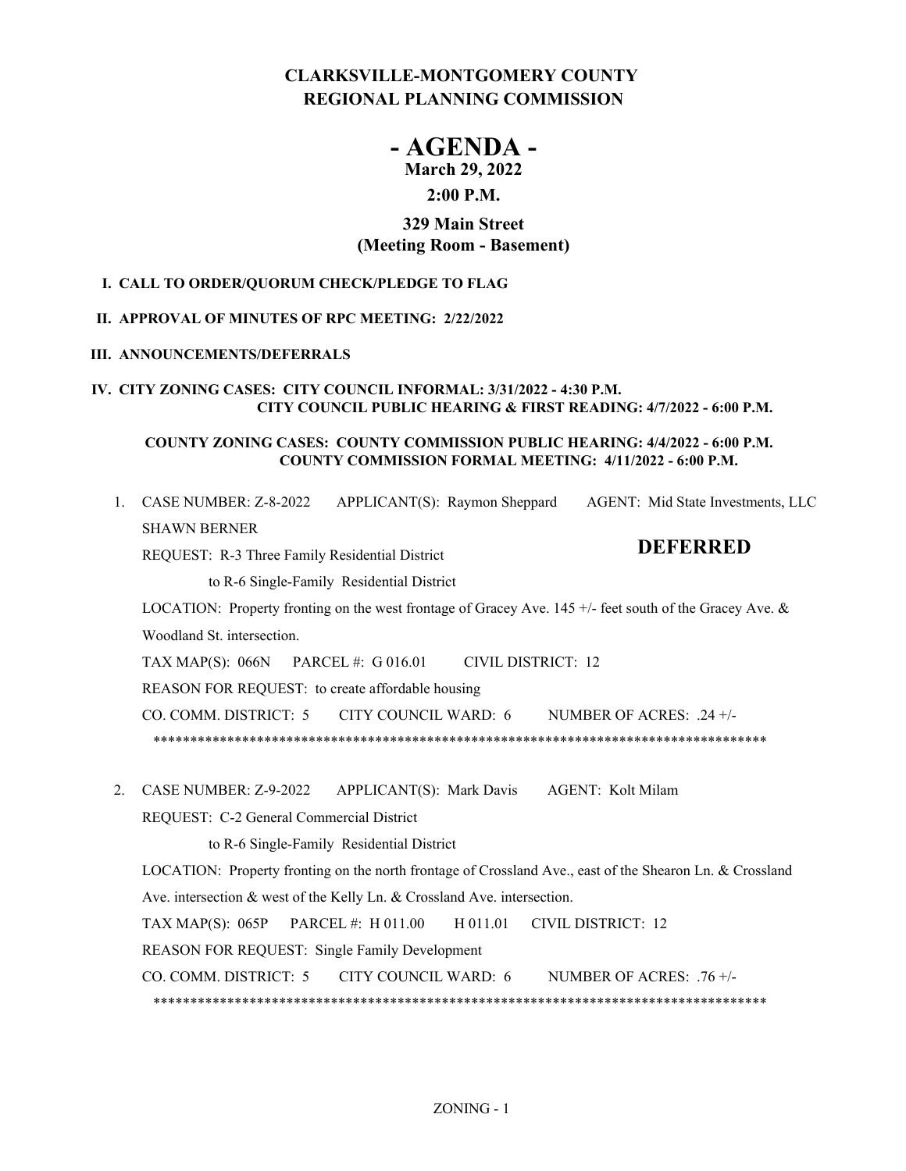# **CLARKSVILLE-MONTGOMERY COUNTY REGIONAL PLANNING COMMISSION**

# **- AGENDA - March 29, 2022**

# **2:00 P.M.**

## **329 Main Street (Meeting Room - Basement)**

## **I. CALL TO ORDER/QUORUM CHECK/PLEDGE TO FLAG**

## **II. APPROVAL OF MINUTES OF RPC MEETING: 2/22/2022**

## **III. ANNOUNCEMENTS/DEFERRALS**

## **IV. CITY ZONING CASES: CITY COUNCIL INFORMAL: 3/31/2022 - 4:30 P.M. CITY COUNCIL PUBLIC HEARING & FIRST READING: 4/7/2022 - 6:00 P.M.**

## **COUNTY ZONING CASES: COUNTY COMMISSION PUBLIC HEARING: 4/4/2022 - 6:00 P.M. COUNTY COMMISSION FORMAL MEETING: 4/11/2022 - 6:00 P.M.**

| $\mathbf{1}$ . | CASE NUMBER: Z-8-2022<br>AGENT: Mid State Investments, LLC<br>$APPLICANT(S)$ : Raymon Sheppard           |
|----------------|----------------------------------------------------------------------------------------------------------|
|                | <b>SHAWN BERNER</b>                                                                                      |
|                | <b>DEFERRED</b><br>REQUEST: R-3 Three Family Residential District                                        |
|                | to R-6 Single-Family Residential District                                                                |
|                | LOCATION: Property fronting on the west frontage of Gracey Ave. 145 +/- feet south of the Gracey Ave. &  |
|                | Woodland St. intersection.                                                                               |
|                | <b>CIVIL DISTRICT: 12</b><br>TAX MAP(S): $066N$ PARCEL #: G 016.01                                       |
|                | REASON FOR REQUEST: to create affordable housing                                                         |
|                | CO. COMM. DISTRICT: 5<br>CITY COUNCIL WARD: 6<br>NUMBER OF ACRES: $.24 +/-$                              |
|                |                                                                                                          |
|                |                                                                                                          |
| 2.             | CASE NUMBER: Z-9-2022 APPLICANT(S): Mark Davis<br>AGENT: Kolt Milam                                      |
|                | REQUEST: C-2 General Commercial District                                                                 |
|                | to R-6 Single-Family Residential District                                                                |
|                | LOCATION: Property fronting on the north frontage of Crossland Ave., east of the Shearon Ln. & Crossland |
|                | Ave. intersection & west of the Kelly Ln. & Crossland Ave. intersection.                                 |
|                | TAX MAP $(S)$ : 065P<br>PARCEL #: H 011.00<br>H 011.01<br><b>CIVIL DISTRICT: 12</b>                      |
|                | REASON FOR REQUEST: Single Family Development                                                            |
|                | CO. COMM. DISTRICT: 5<br><b>CITY COUNCIL WARD: 6</b><br>NUMBER OF ACRES: $.76 +/-$                       |
|                |                                                                                                          |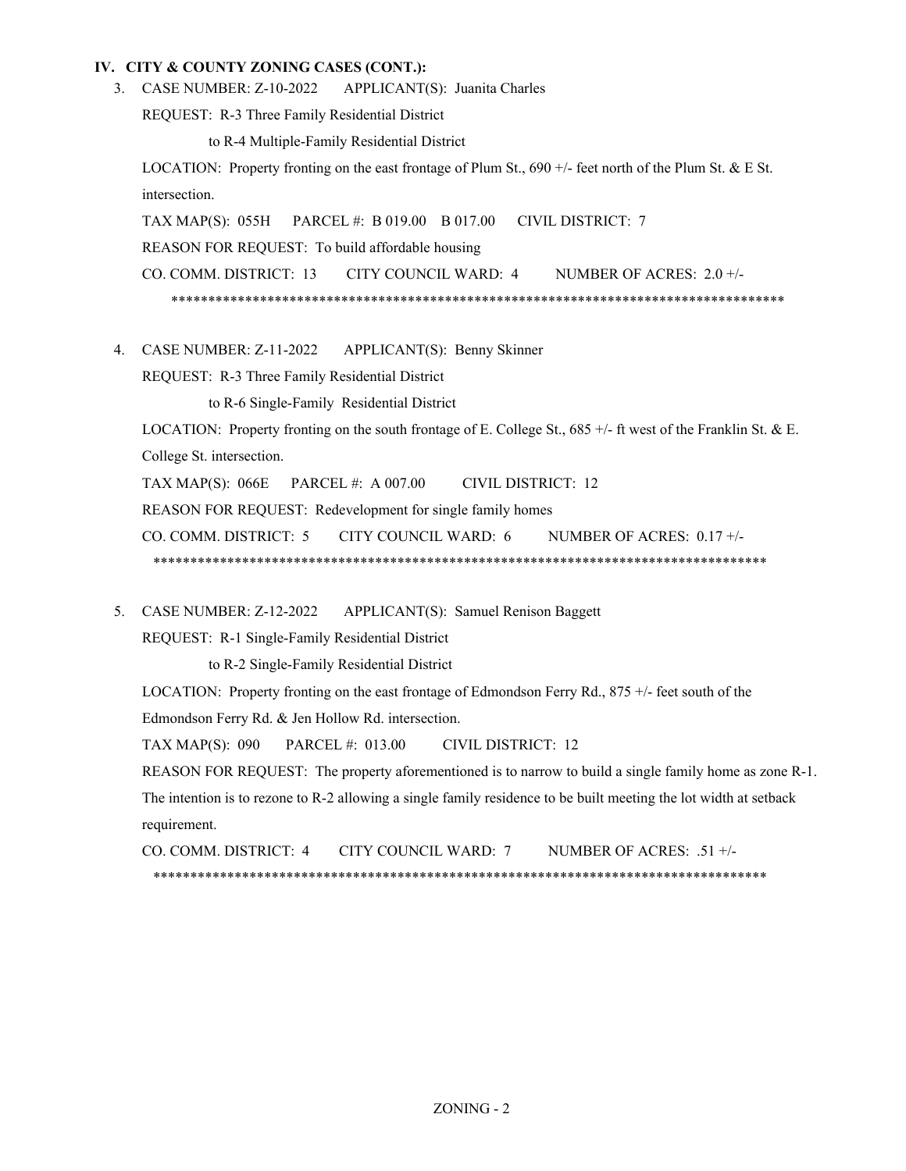3. CASE NUMBER: Z-10-2022 APPLICANT(S): Juanita Charles

REQUEST: R-3 Three Family Residential District

to R-4 Multiple-Family Residential District

LOCATION: Property fronting on the east frontage of Plum St., 690 +/- feet north of the Plum St. & E St. intersection.

TAX MAP(S): 055H PARCEL #: B 019.00 B 017.00 CIVIL DISTRICT: 7

REASON FOR REQUEST: To build affordable housing

CO. COMM. DISTRICT: 13 CITY COUNCIL WARD: 4 NUMBER OF ACRES: 2.0 +/-

\*\*\*\*\*\*\*\*\*\*\*\*\*\*\*\*\*\*\*\*\*\*\*\*\*\*\*\*\*\*\*\*\*\*\*\*\*\*\*\*\*\*\*\*\*\*\*\*\*\*\*\*\*\*\*\*\*\*\*\*\*\*\*\*\*\*\*\*\*\*\*\*\*\*\*\*\*\*\*\*\*\*\*

APPLICANT(S): Benny Skinner 4. CASE NUMBER: Z-11-2022

REQUEST: R-3 Three Family Residential District

to R-6 Single-Family Residential District

LOCATION: Property fronting on the south frontage of E. College St., 685 +/- ft west of the Franklin St. & E. College St. intersection.

TAX MAP(S): 066E PARCEL #: A 007.00 CIVIL DISTRICT: 12

REASON FOR REQUEST: Redevelopment for single family homes

CO. COMM. DISTRICT: 5 CITY COUNCIL WARD: 6 NUMBER OF ACRES: 0.17 +/-

- \*\*\*\*\*\*\*\*\*\*\*\*\*\*\*\*\*\*\*\*\*\*\*\*\*\*\*\*\*\*\*\*\*\*\*\*\*\*\*\*\*\*\*\*\*\*\*\*\*\*\*\*\*\*\*\*\*\*\*\*\*\*\*\*\*\*\*\*\*\*\*\*\*\*\*\*\*\*\*\*\*\*\*
- APPLICANT(S): Samuel Renison Baggett 5. CASE NUMBER: Z-12-2022

REQUEST: R-1 Single-Family Residential District

to R-2 Single-Family Residential District

LOCATION: Property fronting on the east frontage of Edmondson Ferry Rd., 875 +/- feet south of the Edmondson Ferry Rd. & Jen Hollow Rd. intersection.

TAX MAP(S): 090 PARCEL #: 013.00 CIVIL DISTRICT: 12

REASON FOR REQUEST: The property aforementioned is to narrow to build a single family home as zone R-1. The intention is to rezone to R-2 allowing a single family residence to be built meeting the lot width at setback requirement.

CO. COMM. DISTRICT: 4 CITY COUNCIL WARD: 7 NUMBER OF ACRES: .51 +/- \*\*\*\*\*\*\*\*\*\*\*\*\*\*\*\*\*\*\*\*\*\*\*\*\*\*\*\*\*\*\*\*\*\*\*\*\*\*\*\*\*\*\*\*\*\*\*\*\*\*\*\*\*\*\*\*\*\*\*\*\*\*\*\*\*\*\*\*\*\*\*\*\*\*\*\*\*\*\*\*\*\*\*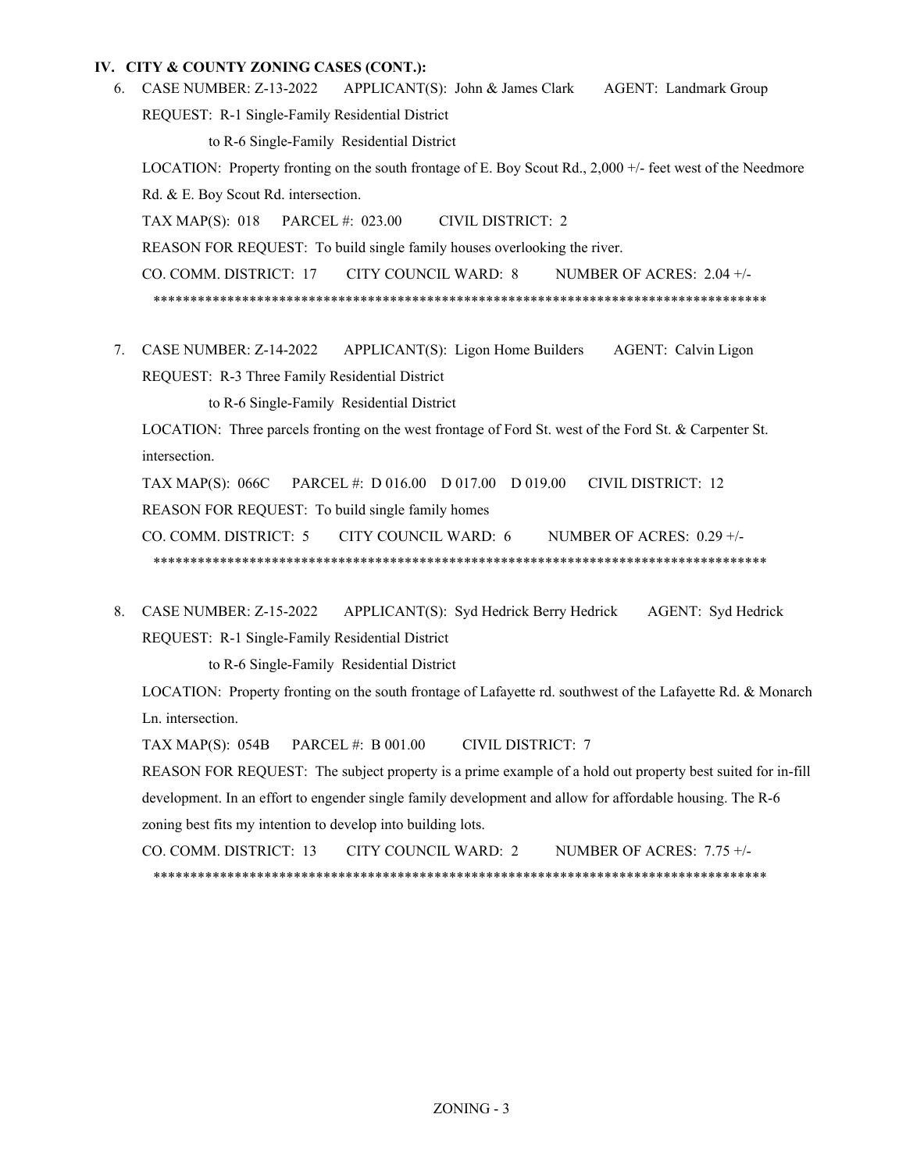- APPLICANT(S): John & James Clark AGENT: Landmark Group REQUEST: R-1 Single-Family Residential District to R-6 Single-Family Residential District LOCATION: Property fronting on the south frontage of E. Boy Scout Rd., 2,000 +/- feet west of the Needmore Rd. & E. Boy Scout Rd. intersection. TAX MAP(S): 018 PARCEL #: 023.00 CIVIL DISTRICT: 2 REASON FOR REQUEST: To build single family houses overlooking the river. CO. COMM. DISTRICT: 17 CITY COUNCIL WARD: 8 NUMBER OF ACRES: 2.04 +/- \*\*\*\*\*\*\*\*\*\*\*\*\*\*\*\*\*\*\*\*\*\*\*\*\*\*\*\*\*\*\*\*\*\*\*\*\*\*\*\*\*\*\*\*\*\*\*\*\*\*\*\*\*\*\*\*\*\*\*\*\*\*\*\*\*\*\*\*\*\*\*\*\*\*\*\*\*\*\*\*\*\*\* 6. CASE NUMBER: Z-13-2022
- 7. CASE NUMBER: Z-14-2022 APPLICANT(S): Ligon Home Builders AGENT: Calvin Ligon REQUEST: R-3 Three Family Residential District

to R-6 Single-Family Residential District

LOCATION: Three parcels fronting on the west frontage of Ford St. west of the Ford St. & Carpenter St. intersection.

TAX MAP(S): 066C PARCEL #: D 016.00 D 017.00 D 019.00 CIVIL DISTRICT: 12 REASON FOR REQUEST: To build single family homes

CO. COMM. DISTRICT: 5 CITY COUNCIL WARD: 6 NUMBER OF ACRES: 0.29 +/-

\*\*\*\*\*\*\*\*\*\*\*\*\*\*\*\*\*\*\*\*\*\*\*\*\*\*\*\*\*\*\*\*\*\*\*\*\*\*\*\*\*\*\*\*\*\*\*\*\*\*\*\*\*\*\*\*\*\*\*\*\*\*\*\*\*\*\*\*\*\*\*\*\*\*\*\*\*\*\*\*\*\*\*

APPLICANT(S): Syd Hedrick Berry Hedrick AGENT: Syd Hedrick REQUEST: R-1 Single-Family Residential District 8. CASE NUMBER: Z-15-2022

to R-6 Single-Family Residential District

LOCATION: Property fronting on the south frontage of Lafayette rd. southwest of the Lafayette Rd. & Monarch Ln. intersection.

TAX MAP(S): 054B PARCEL #: B 001.00 CIVIL DISTRICT: 7

REASON FOR REQUEST: The subject property is a prime example of a hold out property best suited for in-fill development. In an effort to engender single family development and allow for affordable housing. The R-6 zoning best fits my intention to develop into building lots.

CO. COMM. DISTRICT: 13 CITY COUNCIL WARD: 2 NUMBER OF ACRES: 7.75 +/- \*\*\*\*\*\*\*\*\*\*\*\*\*\*\*\*\*\*\*\*\*\*\*\*\*\*\*\*\*\*\*\*\*\*\*\*\*\*\*\*\*\*\*\*\*\*\*\*\*\*\*\*\*\*\*\*\*\*\*\*\*\*\*\*\*\*\*\*\*\*\*\*\*\*\*\*\*\*\*\*\*\*\*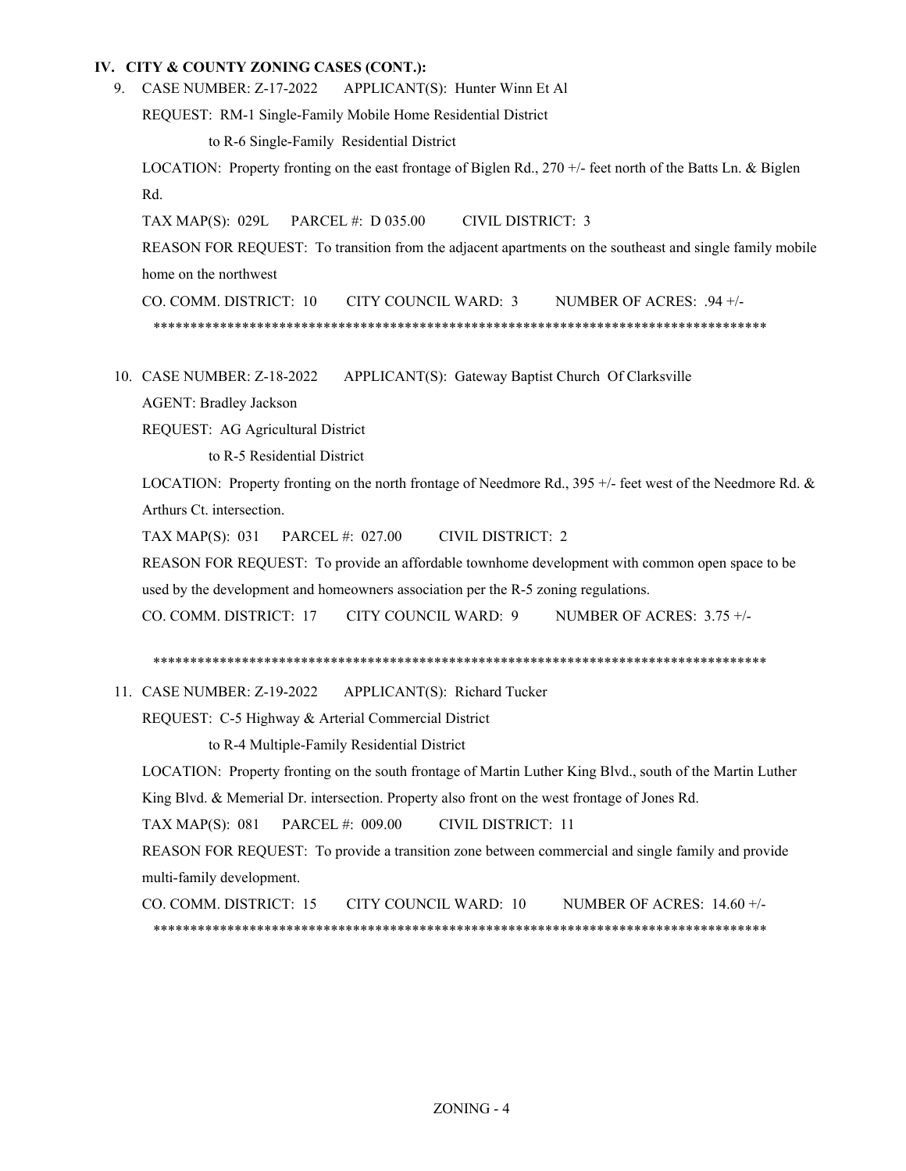9. CASE NUMBER: Z-17-2022 APPLICANT(S): Hunter Winn Et Al

REQUEST: RM-1 Single-Family Mobile Home Residential District

to R-6 Single-Family Residential District

LOCATION: Property fronting on the east frontage of Biglen Rd., 270 +/- feet north of the Batts Ln. & Biglen Rd.

TAX MAP(S): 029L PARCEL #: D 035.00 CIVIL DISTRICT: 3

REASON FOR REQUEST: To transition from the adjacent apartments on the southeast and single family mobile home on the northwest

CO. COMM. DISTRICT: 10 CITY COUNCIL WARD: 3 NUMBER OF ACRES: .94 +/- \*\*\*\*\*\*\*\*\*\*\*\*\*\*\*\*\*\*\*\*\*\*\*\*\*\*\*\*\*\*\*\*\*\*\*\*\*\*\*\*\*\*\*\*\*\*\*\*\*\*\*\*\*\*\*\*\*\*\*\*\*\*\*\*\*\*\*\*\*\*\*\*\*\*\*\*\*\*\*\*\*\*\*

APPLICANT(S): Gateway Baptist Church Of Clarksville 10. CASE NUMBER: Z-18-2022

AGENT: Bradley Jackson

REQUEST: AG Agricultural District

to R-5 Residential District

LOCATION: Property fronting on the north frontage of Needmore Rd., 395 +/- feet west of the Needmore Rd. & Arthurs Ct. intersection.

TAX MAP(S): 031 PARCEL #: 027.00 CIVIL DISTRICT: 2

REASON FOR REQUEST: To provide an affordable townhome development with common open space to be used by the development and homeowners association per the R-5 zoning regulations.

CO. COMM. DISTRICT: 17 CITY COUNCIL WARD: 9 NUMBER OF ACRES: 3.75 +/-

\*\*\*\*\*\*\*\*\*\*\*\*\*\*\*\*\*\*\*\*\*\*\*\*\*\*\*\*\*\*\*\*\*\*\*\*\*\*\*\*\*\*\*\*\*\*\*\*\*\*\*\*\*\*\*\*\*\*\*\*\*\*\*\*\*\*\*\*\*\*\*\*\*\*\*\*\*\*\*\*\*\*\*

APPLICANT(S): Richard Tucker 11. CASE NUMBER: Z-19-2022

REQUEST: C-5 Highway & Arterial Commercial District

to R-4 Multiple-Family Residential District

LOCATION: Property fronting on the south frontage of Martin Luther King Blvd., south of the Martin Luther King Blvd. & Memerial Dr. intersection. Property also front on the west frontage of Jones Rd.

TAX MAP(S): 081 PARCEL #: 009.00 CIVIL DISTRICT: 11

REASON FOR REQUEST: To provide a transition zone between commercial and single family and provide multi-family development.

CO. COMM. DISTRICT: 15 CITY COUNCIL WARD: 10 NUMBER OF ACRES: 14.60 +/- \*\*\*\*\*\*\*\*\*\*\*\*\*\*\*\*\*\*\*\*\*\*\*\*\*\*\*\*\*\*\*\*\*\*\*\*\*\*\*\*\*\*\*\*\*\*\*\*\*\*\*\*\*\*\*\*\*\*\*\*\*\*\*\*\*\*\*\*\*\*\*\*\*\*\*\*\*\*\*\*\*\*\*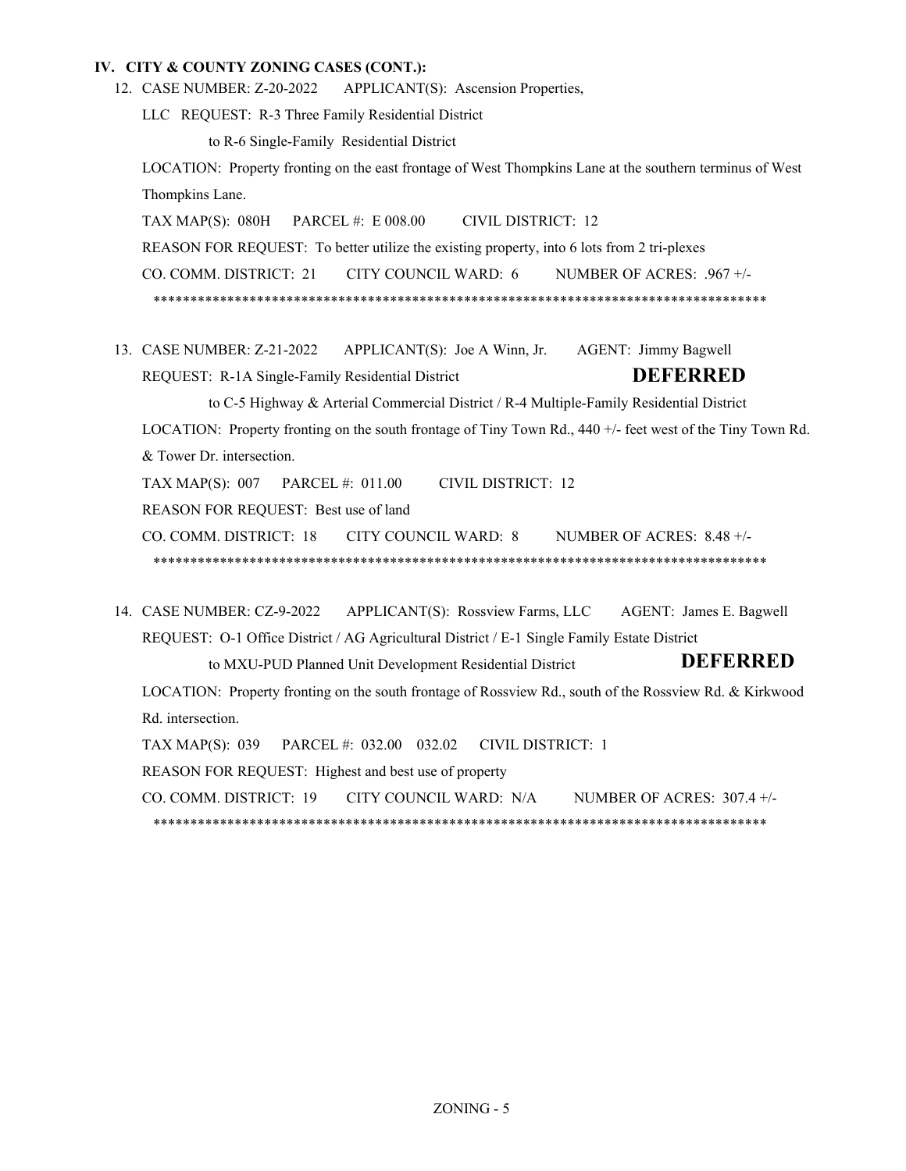APPLICANT(S): Ascension Properties, 12. CASE NUMBER: Z-20-2022

LLC REQUEST: R-3 Three Family Residential District

to R-6 Single-Family Residential District

LOCATION: Property fronting on the east frontage of West Thompkins Lane at the southern terminus of West Thompkins Lane.

TAX MAP(S): 080H PARCEL #: E 008.00 CIVIL DISTRICT: 12 REASON FOR REQUEST: To better utilize the existing property, into 6 lots from 2 tri-plexes CO. COMM. DISTRICT: 21 CITY COUNCIL WARD: 6 NUMBER OF ACRES: .967 +/- \*\*\*\*\*\*\*\*\*\*\*\*\*\*\*\*\*\*\*\*\*\*\*\*\*\*\*\*\*\*\*\*\*\*\*\*\*\*\*\*\*\*\*\*\*\*\*\*\*\*\*\*\*\*\*\*\*\*\*\*\*\*\*\*\*\*\*\*\*\*\*\*\*\*\*\*\*\*\*\*\*\*\*

13. CASE NUMBER: Z-21-2022 APPLICANT(S): Joe A Winn, Jr. AGENT: Jimmy Bagwell REQUEST: R-1A Single-Family Residential District **DEFERRED**

to C-5 Highway & Arterial Commercial District / R-4 Multiple-Family Residential District LOCATION: Property fronting on the south frontage of Tiny Town Rd., 440 +/- feet west of the Tiny Town Rd. & Tower Dr. intersection.

TAX MAP(S): 007 PARCEL #: 011.00 CIVIL DISTRICT: 12

REASON FOR REQUEST: Best use of land

CO. COMM. DISTRICT: 18 CITY COUNCIL WARD: 8 NUMBER OF ACRES: 8.48 +/- \*\*\*\*\*\*\*\*\*\*\*\*\*\*\*\*\*\*\*\*\*\*\*\*\*\*\*\*\*\*\*\*\*\*\*\*\*\*\*\*\*\*\*\*\*\*\*\*\*\*\*\*\*\*\*\*\*\*\*\*\*\*\*\*\*\*\*\*\*\*\*\*\*\*\*\*\*\*\*\*\*\*\*

APPLICANT(S): Rossview Farms, LLC AGENT: James E. Bagwell REQUEST: O-1 Office District / AG Agricultural District / E-1 Single Family Estate District 14. CASE NUMBER: CZ-9-2022

> to MXU-PUD Planned Unit Development Residential District **DEFERRED**

LOCATION: Property fronting on the south frontage of Rossview Rd., south of the Rossview Rd. & Kirkwood Rd. intersection.

TAX MAP(S): 039 PARCEL #: 032.00 032.02 CIVIL DISTRICT: 1

REASON FOR REQUEST: Highest and best use of property

CO. COMM. DISTRICT: 19 CITY COUNCIL WARD: N/A NUMBER OF ACRES: 307.4 +/-

\*\*\*\*\*\*\*\*\*\*\*\*\*\*\*\*\*\*\*\*\*\*\*\*\*\*\*\*\*\*\*\*\*\*\*\*\*\*\*\*\*\*\*\*\*\*\*\*\*\*\*\*\*\*\*\*\*\*\*\*\*\*\*\*\*\*\*\*\*\*\*\*\*\*\*\*\*\*\*\*\*\*\*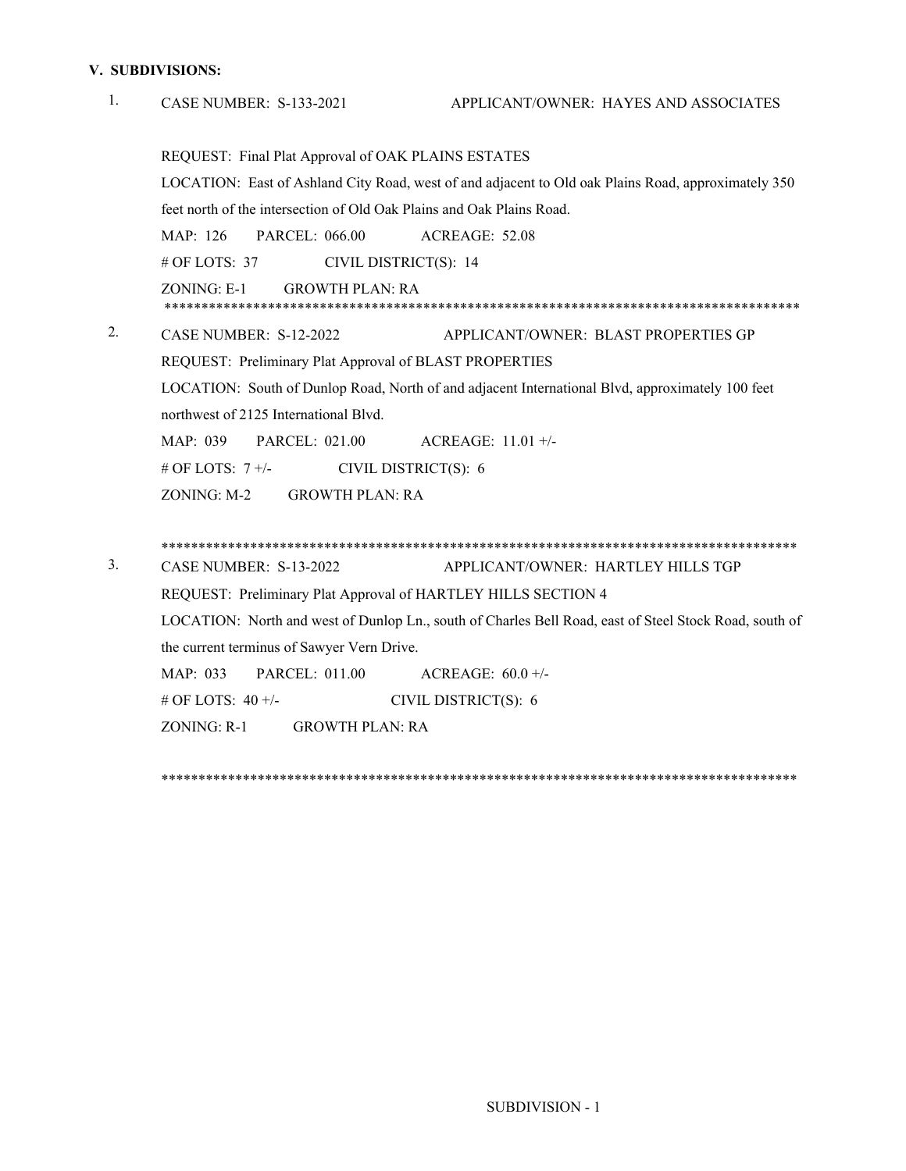## **V. SUBDIVISIONS:**

| 1. | APPLICANT/OWNER: HAYES AND ASSOCIATES<br><b>CASE NUMBER: S-133-2021</b>                                |
|----|--------------------------------------------------------------------------------------------------------|
|    | REQUEST: Final Plat Approval of OAK PLAINS ESTATES                                                     |
|    | LOCATION: East of Ashland City Road, west of and adjacent to Old oak Plains Road, approximately 350    |
|    | feet north of the intersection of Old Oak Plains and Oak Plains Road.                                  |
|    | MAP: 126<br><b>PARCEL: 066.00</b><br>ACREAGE: 52.08                                                    |
|    | # OF LOTS: $37$<br>CIVIL DISTRICT(S): 14                                                               |
|    | ZONING: E-1<br><b>GROWTH PLAN: RA</b>                                                                  |
| 2. | CASE NUMBER: S-12-2022<br>APPLICANT/OWNER: BLAST PROPERTIES GP                                         |
|    | REQUEST: Preliminary Plat Approval of BLAST PROPERTIES                                                 |
|    | LOCATION: South of Dunlop Road, North of and adjacent International Blvd, approximately 100 feet       |
|    | northwest of 2125 International Blvd.                                                                  |
|    | PARCEL: 021.00<br>MAP: 039<br>ACREAGE: $11.01 +/-$                                                     |
|    | # OF LOTS: $7 +/-$<br>CIVIL DISTRICT(S): 6                                                             |
|    | ZONING: M-2<br><b>GROWTH PLAN: RA</b>                                                                  |
|    |                                                                                                        |
| 3. | CASE NUMBER: S-13-2022<br>APPLICANT/OWNER: HARTLEY HILLS TGP                                           |
|    | REQUEST: Preliminary Plat Approval of HARTLEY HILLS SECTION 4                                          |
|    | LOCATION: North and west of Dunlop Ln., south of Charles Bell Road, east of Steel Stock Road, south of |
|    | the current terminus of Sawyer Vern Drive.                                                             |
|    | MAP: 033<br><b>PARCEL: 011.00</b><br>ACREAGE: $60.0 +/-$                                               |
|    | # OF LOTS: 40 +/-<br>CIVIL DISTRICT(S): 6                                                              |
|    | ZONING: R-1<br><b>GROWTH PLAN: RA</b>                                                                  |
|    |                                                                                                        |

\*\*\*\*\*\*\*\*\*\*\*\*\*\*\*\*\*\*\*\*\*\*\*\*\*\*\*\*\*\*\*\*\*\*\*\*\*\*\*\*\*\*\*\*\*\*\*\*\*\*\*\*\*\*\*\*\*\*\*\*\*\*\*\*\*\*\*\*\*\*\*\*\*\*\*\*\*\*\*\*\*\*\*\*\*\*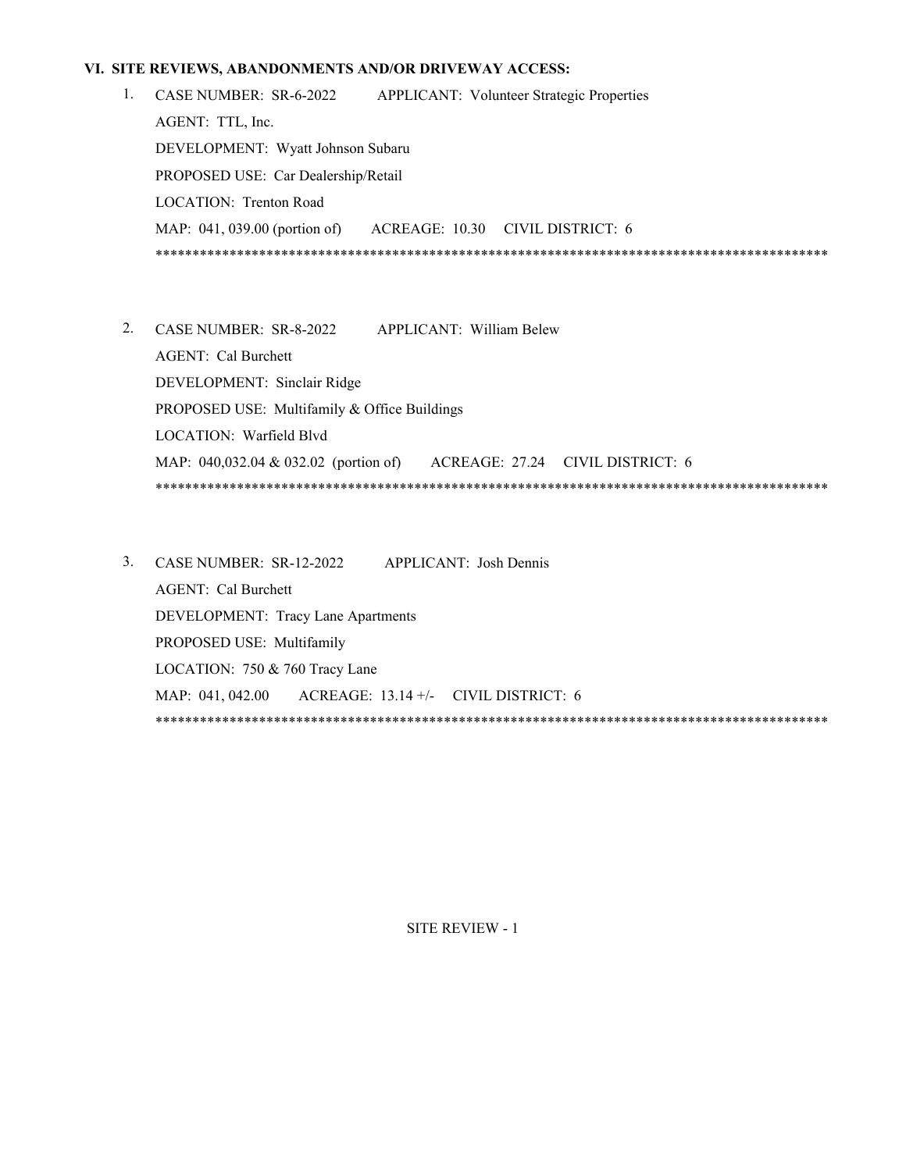#### **VI. SITE REVIEWS, ABANDONMENTS AND/OR DRIVEWAY ACCESS:**

- CASE NUMBER: SR-6-2022 APPLICANT: Volunteer Strategic Properties AGENT: TTL, Inc. DEVELOPMENT: Wyatt Johnson Subaru PROPOSED USE: Car Dealership/Retail LOCATION: Trenton Road MAP: 041, 039.00 (portion of) ACREAGE: 10.30 CIVIL DISTRICT: 6 \*\*\*\*\*\*\*\*\*\*\*\*\*\*\*\*\*\*\*\*\*\*\*\*\*\*\*\*\*\*\*\*\*\*\*\*\*\*\*\*\*\*\*\*\*\*\*\*\*\*\*\*\*\*\*\*\*\*\*\*\*\*\*\*\*\*\*\*\*\*\*\*\*\*\*\*\*\*\*\*\*\*\*\*\*\*\*\*\*\*\* 1.
- CASE NUMBER: SR-8-2022 APPLICANT: William Belew 2. AGENT: Cal Burchett DEVELOPMENT: Sinclair Ridge PROPOSED USE: Multifamily & Office Buildings LOCATION: Warfield Blvd MAP: 040,032.04 & 032.02 (portion of) ACREAGE: 27.24 CIVIL DISTRICT: 6 \*\*\*\*\*\*\*\*\*\*\*\*\*\*\*\*\*\*\*\*\*\*\*\*\*\*\*\*\*\*\*\*\*\*\*\*\*\*\*\*\*\*\*\*\*\*\*\*\*\*\*\*\*\*\*\*\*\*\*\*\*\*\*\*\*\*\*\*\*\*\*\*\*\*\*\*\*\*\*\*\*\*\*\*\*\*\*\*\*\*\*
- CASE NUMBER: SR-12-2022 APPLICANT: Josh Dennis 3. AGENT: Cal Burchett DEVELOPMENT: Tracy Lane Apartments PROPOSED USE: Multifamily LOCATION: 750 & 760 Tracy Lane MAP: 041, 042.00 ACREAGE: 13.14 +/- CIVIL DISTRICT: 6 \*\*\*\*\*\*\*\*\*\*\*\*\*\*\*\*\*\*\*\*\*\*\*\*\*\*\*\*\*\*\*\*\*\*\*\*\*\*\*\*\*\*\*\*\*\*\*\*\*\*\*\*\*\*\*\*\*\*\*\*\*\*\*\*\*\*\*\*\*\*\*\*\*\*\*\*\*\*\*\*\*\*\*\*\*\*\*\*\*\*\*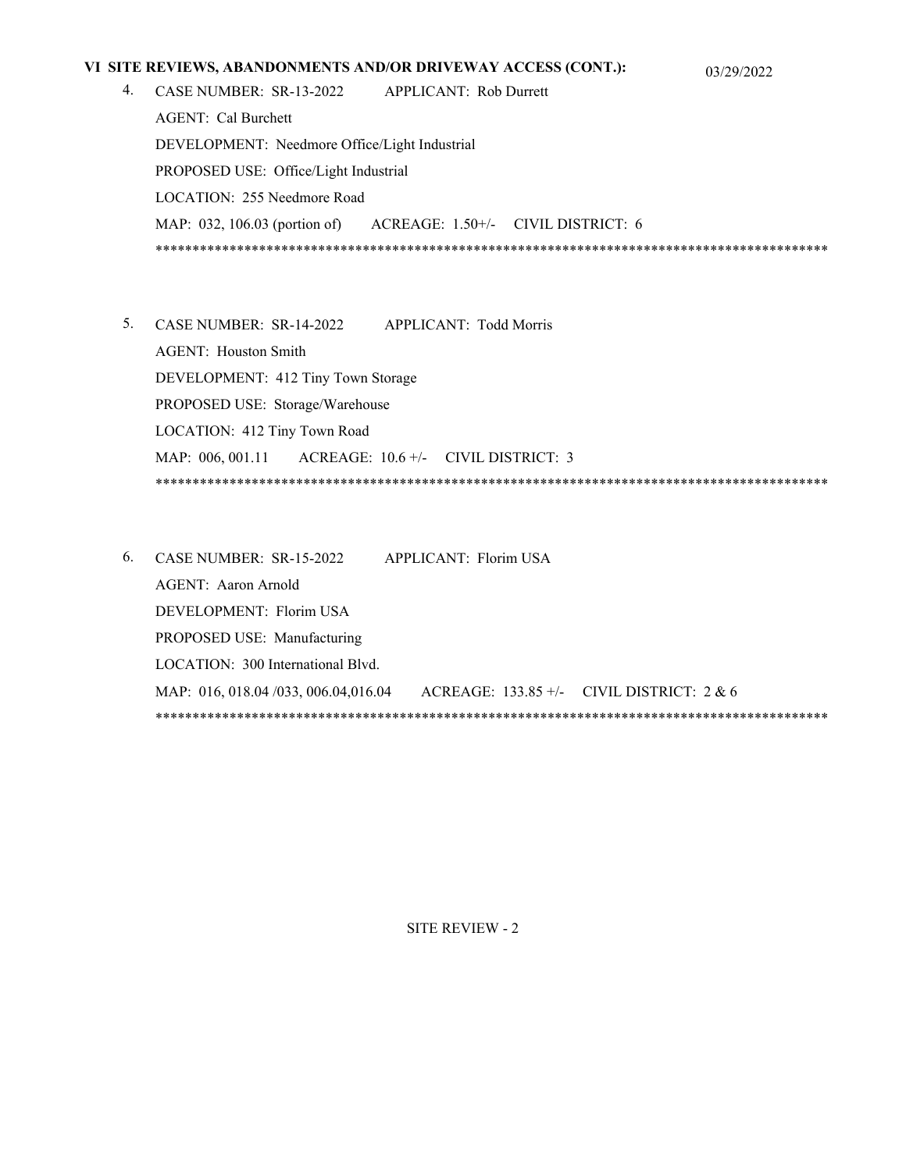## **VI SITE REVIEWS, ABANDONMENTS AND/OR DRIVEWAY ACCESS (CONT.):** 03/29/2022

- 
- CASE NUMBER: SR-13-2022 APPLICANT: Rob Durrett 4. AGENT: Cal Burchett DEVELOPMENT: Needmore Office/Light Industrial PROPOSED USE: Office/Light Industrial LOCATION: 255 Needmore Road MAP: 032, 106.03 (portion of) ACREAGE: 1.50+/- CIVIL DISTRICT: 6 \*\*\*\*\*\*\*\*\*\*\*\*\*\*\*\*\*\*\*\*\*\*\*\*\*\*\*\*\*\*\*\*\*\*\*\*\*\*\*\*\*\*\*\*\*\*\*\*\*\*\*\*\*\*\*\*\*\*\*\*\*\*\*\*\*\*\*\*\*\*\*\*\*\*\*\*\*\*\*\*\*\*\*\*\*\*\*\*\*\*\*
- CASE NUMBER: SR-14-2022 APPLICANT: Todd Morris 5. AGENT: Houston Smith DEVELOPMENT: 412 Tiny Town Storage PROPOSED USE: Storage/Warehouse LOCATION: 412 Tiny Town Road MAP: 006, 001.11 ACREAGE: 10.6 +/- CIVIL DISTRICT: 3 \*\*\*\*\*\*\*\*\*\*\*\*\*\*\*\*\*\*\*\*\*\*\*\*\*\*\*\*\*\*\*\*\*\*\*\*\*\*\*\*\*\*\*\*\*\*\*\*\*\*\*\*\*\*\*\*\*\*\*\*\*\*\*\*\*\*\*\*\*\*\*\*\*\*\*\*\*\*\*\*\*\*\*\*\*\*\*\*\*\*\*
- CASE NUMBER: SR-15-2022 APPLICANT: Florim USA 6. AGENT: Aaron Arnold DEVELOPMENT: Florim USA PROPOSED USE: Manufacturing LOCATION: 300 International Blvd. MAP: 016, 018.04 /033, 006.04,016.04 ACREAGE: 133.85 +/- CIVIL DISTRICT: 2 & 6 \*\*\*\*\*\*\*\*\*\*\*\*\*\*\*\*\*\*\*\*\*\*\*\*\*\*\*\*\*\*\*\*\*\*\*\*\*\*\*\*\*\*\*\*\*\*\*\*\*\*\*\*\*\*\*\*\*\*\*\*\*\*\*\*\*\*\*\*\*\*\*\*\*\*\*\*\*\*\*\*\*\*\*\*\*\*\*\*\*\*\*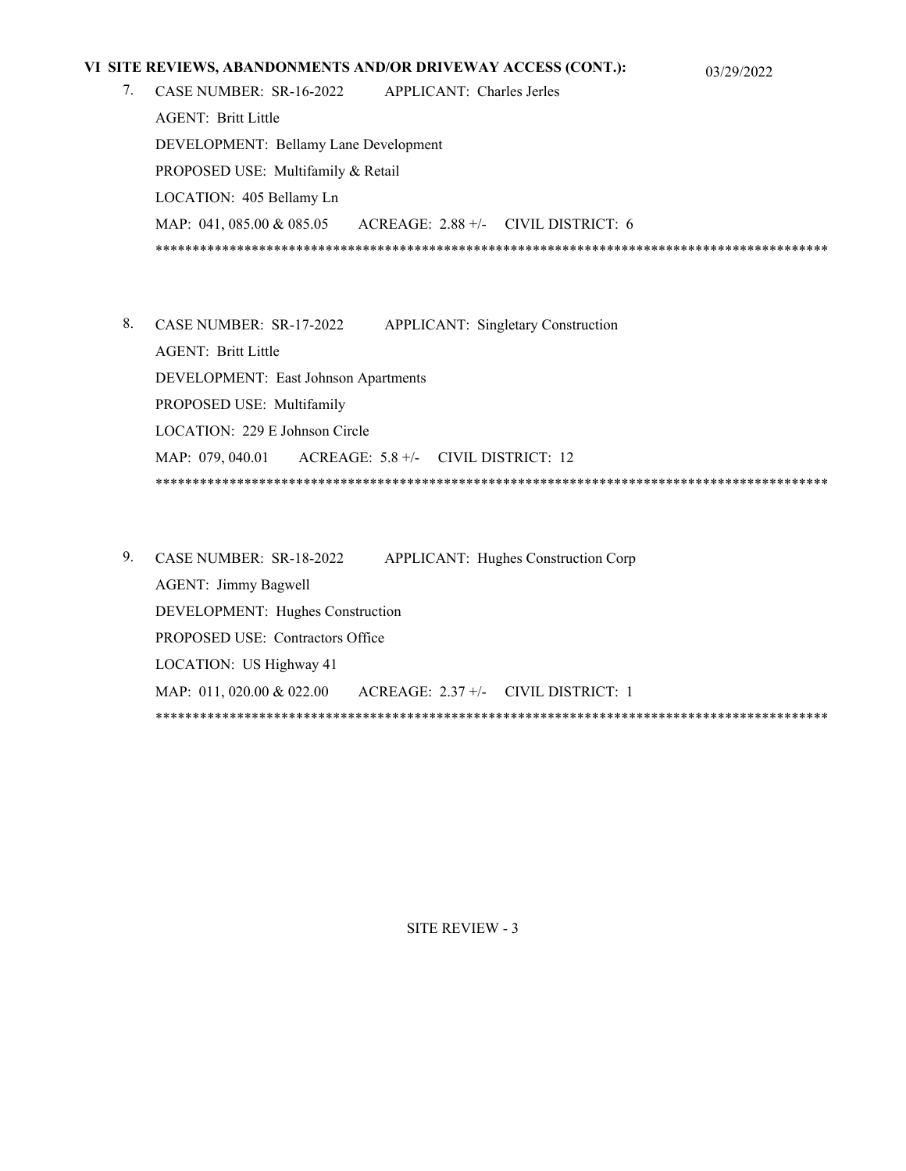## **VI SITE REVIEWS, ABANDONMENTS AND/OR DRIVEWAY ACCESS (CONT.):** 03/29/2022

- 
- CASE NUMBER: SR-16-2022 APPLICANT: Charles Jerles 7. AGENT: Britt Little DEVELOPMENT: Bellamy Lane Development PROPOSED USE: Multifamily & Retail LOCATION: 405 Bellamy Ln MAP: 041, 085.00 & 085.05 ACREAGE: 2.88 +/- CIVIL DISTRICT: 6 \*\*\*\*\*\*\*\*\*\*\*\*\*\*\*\*\*\*\*\*\*\*\*\*\*\*\*\*\*\*\*\*\*\*\*\*\*\*\*\*\*\*\*\*\*\*\*\*\*\*\*\*\*\*\*\*\*\*\*\*\*\*\*\*\*\*\*\*\*\*\*\*\*\*\*\*\*\*\*\*\*\*\*\*\*\*\*\*\*\*\*
- APPLICANT: Singletary Construction AGENT: Britt Little DEVELOPMENT: East Johnson Apartments PROPOSED USE: Multifamily LOCATION: 229 E Johnson Circle MAP: 079, 040.01 ACREAGE: 5.8 +/- CIVIL DISTRICT: 12 \*\*\*\*\*\*\*\*\*\*\*\*\*\*\*\*\*\*\*\*\*\*\*\*\*\*\*\*\*\*\*\*\*\*\*\*\*\*\*\*\*\*\*\*\*\*\*\*\*\*\*\*\*\*\*\*\*\*\*\*\*\*\*\*\*\*\*\*\*\*\*\*\*\*\*\*\*\*\*\*\*\*\*\*\*\*\*\*\*\*\* 8. CASE NUMBER: SR-17-2022
- 9. CASE NUMBER: SR-18-2022 APPLICANT: Hughes Construction Corp AGENT: Jimmy Bagwell DEVELOPMENT: Hughes Construction PROPOSED USE: Contractors Office LOCATION: US Highway 41 MAP: 011, 020.00 & 022.00 ACREAGE: 2.37 +/- CIVIL DISTRICT: 1 \*\*\*\*\*\*\*\*\*\*\*\*\*\*\*\*\*\*\*\*\*\*\*\*\*\*\*\*\*\*\*\*\*\*\*\*\*\*\*\*\*\*\*\*\*\*\*\*\*\*\*\*\*\*\*\*\*\*\*\*\*\*\*\*\*\*\*\*\*\*\*\*\*\*\*\*\*\*\*\*\*\*\*\*\*\*\*\*\*\*\*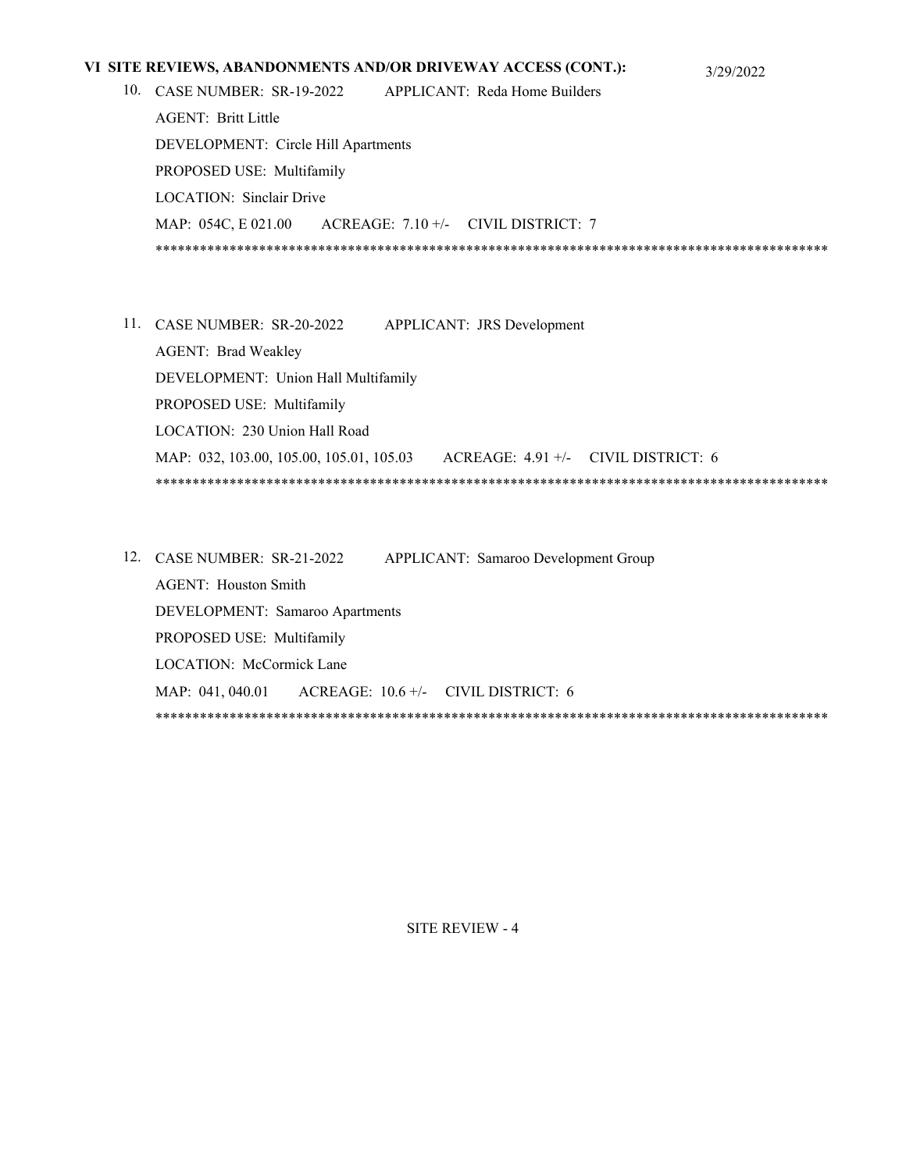## **VI SITE REVIEWS, ABANDONMENTS AND/OR DRIVEWAY ACCESS (CONT.):** 3/29/2022

APPLICANT: Reda Home Builders AGENT: Britt Little 10. CASE NUMBER: SR-19-2022

DEVELOPMENT: Circle Hill Apartments PROPOSED USE: Multifamily LOCATION: Sinclair Drive MAP: 054C, E 021.00 ACREAGE: 7.10 +/- CIVIL DISTRICT: 7 \*\*\*\*\*\*\*\*\*\*\*\*\*\*\*\*\*\*\*\*\*\*\*\*\*\*\*\*\*\*\*\*\*\*\*\*\*\*\*\*\*\*\*\*\*\*\*\*\*\*\*\*\*\*\*\*\*\*\*\*\*\*\*\*\*\*\*\*\*\*\*\*\*\*\*\*\*\*\*\*\*\*\*\*\*\*\*\*\*\*\*

- APPLICANT: JRS Development AGENT: Brad Weakley DEVELOPMENT: Union Hall Multifamily PROPOSED USE: Multifamily LOCATION: 230 Union Hall Road MAP: 032, 103.00, 105.00, 105.01, 105.03 ACREAGE: 4.91 +/- CIVIL DISTRICT: 6 \*\*\*\*\*\*\*\*\*\*\*\*\*\*\*\*\*\*\*\*\*\*\*\*\*\*\*\*\*\*\*\*\*\*\*\*\*\*\*\*\*\*\*\*\*\*\*\*\*\*\*\*\*\*\*\*\*\*\*\*\*\*\*\*\*\*\*\*\*\*\*\*\*\*\*\*\*\*\*\*\*\*\*\*\*\*\*\*\*\*\* 11. CASE NUMBER: SR-20-2022
- APPLICANT: Samaroo Development Group AGENT: Houston Smith DEVELOPMENT: Samaroo Apartments PROPOSED USE: Multifamily LOCATION: McCormick Lane MAP: 041, 040.01 ACREAGE: 10.6 +/- CIVIL DISTRICT: 6 \*\*\*\*\*\*\*\*\*\*\*\*\*\*\*\*\*\*\*\*\*\*\*\*\*\*\*\*\*\*\*\*\*\*\*\*\*\*\*\*\*\*\*\*\*\*\*\*\*\*\*\*\*\*\*\*\*\*\*\*\*\*\*\*\*\*\*\*\*\*\*\*\*\*\*\*\*\*\*\*\*\*\*\*\*\*\*\*\*\*\* 12. CASE NUMBER: SR-21-2022